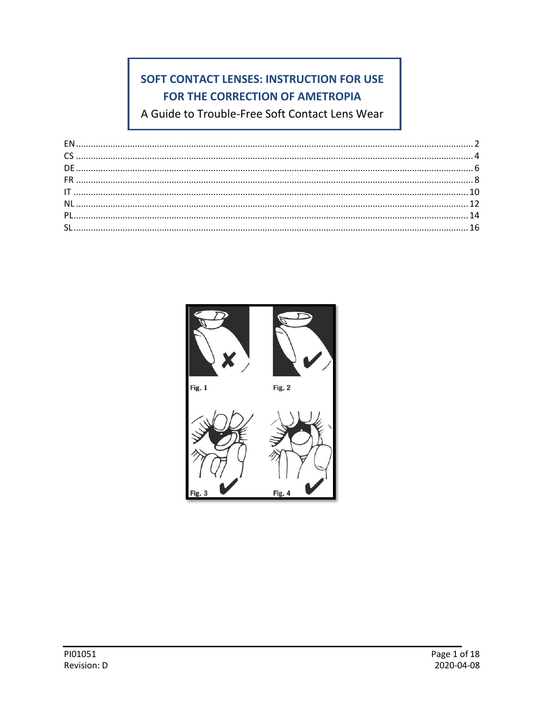# SOFT CONTACT LENSES: INSTRUCTION FOR USE FOR THE CORRECTION OF AMETROPIA

A Guide to Trouble-Free Soft Contact Lens Wear

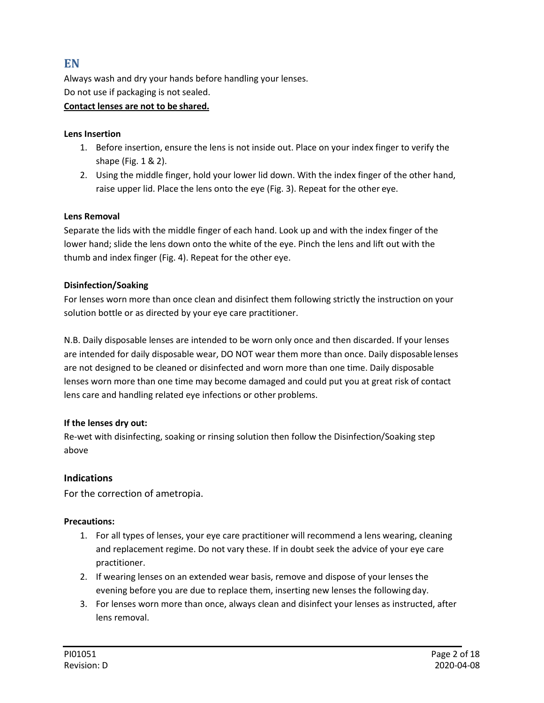## <span id="page-1-0"></span>**EN**

Always wash and dry your hands before handling your lenses. Do not use if packaging is not sealed.

#### **Contact lenses are not to be shared.**

#### **Lens Insertion**

- 1. Before insertion, ensure the lens is not inside out. Place on your index finger to verify the shape (Fig. 1 & 2).
- 2. Using the middle finger, hold your lower lid down. With the index finger of the other hand, raise upper lid. Place the lens onto the eye (Fig. 3). Repeat for the other eye.

#### **Lens Removal**

Separate the lids with the middle finger of each hand. Look up and with the index finger of the lower hand; slide the lens down onto the white of the eye. Pinch the lens and lift out with the thumb and index finger (Fig. 4). Repeat for the other eye.

#### **Disinfection/Soaking**

For lenses worn more than once clean and disinfect them following strictly the instruction on your solution bottle or as directed by your eye care practitioner.

N.B. Daily disposable lenses are intended to be worn only once and then discarded. If your lenses are intended for daily disposable wear, DO NOT wear them more than once. Daily disposablelenses are not designed to be cleaned or disinfected and worn more than one time. Daily disposable lenses worn more than one time may become damaged and could put you at great risk of contact lens care and handling related eye infections or other problems.

#### **If the lenses dry out:**

Re-wet with disinfecting, soaking or rinsing solution then follow the Disinfection/Soaking step above

#### **Indications**

For the correction of ametropia.

#### **Precautions:**

- 1. For all types of lenses, your eye care practitioner will recommend a lens wearing, cleaning and replacement regime. Do not vary these. If in doubt seek the advice of your eye care practitioner.
- 2. If wearing lenses on an extended wear basis, remove and dispose of your lenses the evening before you are due to replace them, inserting new lenses the following day.
- 3. For lenses worn more than once, always clean and disinfect your lenses as instructed, after lens removal.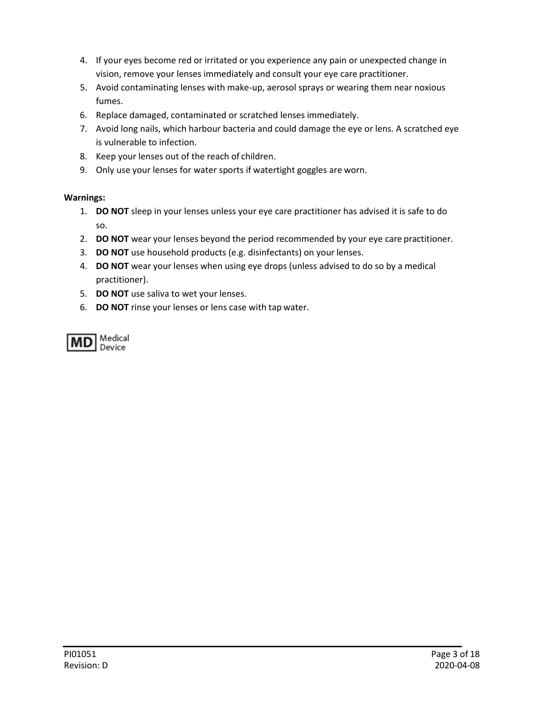- 4. If your eyes become red or irritated or you experience any pain or unexpected change in vision, remove your lenses immediately and consult your eye care practitioner.
- 5. Avoid contaminating lenses with make-up, aerosol sprays or wearing them near noxious fumes.
- 6. Replace damaged, contaminated or scratched lenses immediately.
- 7. Avoid long nails, which harbour bacteria and could damage the eye or lens. A scratched eye is vulnerable to infection.
- 8. Keep your lenses out of the reach of children.
- 9. Only use your lenses for water sports if watertight goggles are worn.

#### **Warnings:**

- 1. **DO NOT** sleep in your lenses unless your eye care practitioner has advised it is safe to do so.
- 2. **DO NOT** wear your lenses beyond the period recommended by your eye care practitioner.
- 3. **DO NOT** use household products (e.g. disinfectants) on your lenses.
- 4. **DO NOT** wear your lenses when using eye drops (unless advised to do so by a medical practitioner).
- 5. **DO NOT** use saliva to wet your lenses.
- 6. **DO NOT** rinse your lenses or lens case with tap water.

<span id="page-2-0"></span>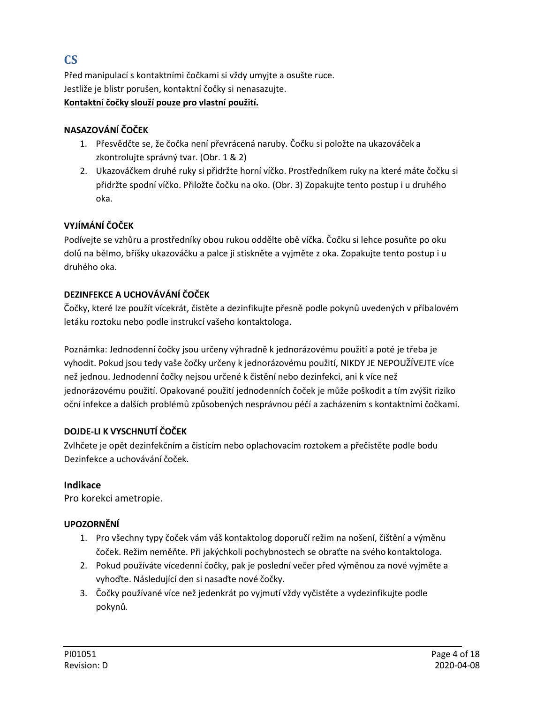## **CS**

Před manipulací s kontaktními čočkami si vždy umyjte a osušte ruce. Jestliže je blistr porušen, kontaktní čočky si nenasazujte.

#### **Kontaktní čočky slouží pouze pro vlastní použití.**

## **NASAZOVÁNÍ ČOČEK**

- 1. Přesvědčte se, že čočka není převrácená naruby. Čočku si položte na ukazováček a zkontrolujte správný tvar. (Obr. 1 & 2)
- 2. Ukazováčkem druhé ruky si přidržte horní víčko. Prostředníkem ruky na které máte čočku si přidržte spodní víčko. Přiložte čočku na oko. (Obr. 3) Zopakujte tento postup i u druhého oka.

## **VYJÍMÁNÍ ČOČEK**

Podívejte se vzhůru a prostředníky obou rukou oddělte obě víčka. Čočku si lehce posuňte po oku dolů na bělmo, bříšky ukazováčku a palce ji stiskněte a vyjměte z oka. Zopakujte tento postup i u druhého oka.

## **DEZINFEKCE A UCHOVÁVÁNÍ ČOČEK**

Čočky, které lze použít vícekrát, čistěte a dezinfikujte přesně podle pokynů uvedených v příbalovém letáku roztoku nebo podle instrukcí vašeho kontaktologa.

Poznámka: Jednodenní čočky jsou určeny výhradně k jednorázovému použití a poté je třeba je vyhodit. Pokud jsou tedy vaše čočky určeny k jednorázovému použití, NIKDY JE NEPOUŽÍVEJTE více než jednou. Jednodenní čočky nejsou určené k čistění nebo dezinfekci, ani k více než jednorázovému použití. Opakované použití jednodenních čoček je může poškodit a tím zvýšit riziko oční infekce a dalších problémů způsobených nesprávnou péčí a zacházením s kontaktními čočkami.

## **DOJDE-LI K VYSCHNUTÍ ČOČEK**

Zvlhčete je opět dezinfekčním a čistícím nebo oplachovacím roztokem a přečistěte podle bodu Dezinfekce a uchovávání čoček.

## **Indikace**

Pro korekci ametropie.

## **UPOZORNĚNÍ**

- 1. Pro všechny typy čoček vám váš kontaktolog doporučí režim na nošení, čištění a výměnu čoček. Režim neměňte. Při jakýchkoli pochybnostech se obraťte na svého kontaktologa.
- 2. Pokud používáte vícedenní čočky, pak je poslední večer před výměnou za nové vyjměte a vyhoďte. Následující den si nasaďte nové čočky.
- 3. Čočky používané více než jedenkrát po vyjmutí vždy vyčistěte a vydezinfikujte podle pokynů.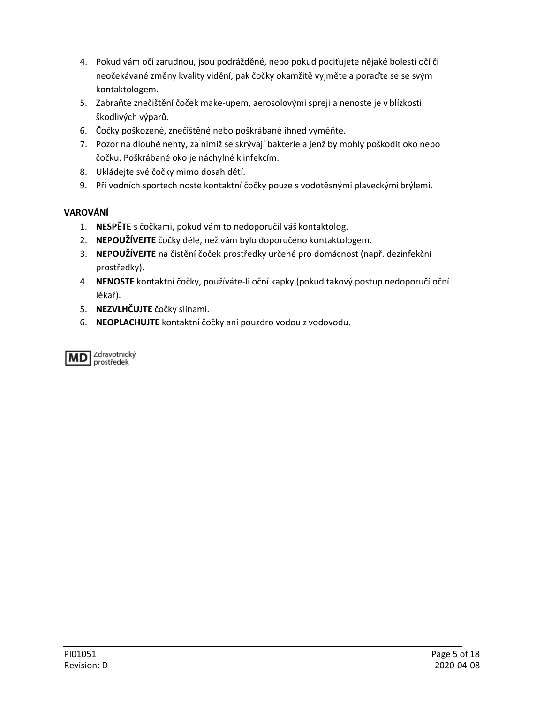- 4. Pokud vám oči zarudnou, jsou podrážděné, nebo pokud pociťujete nějaké bolesti očí či neočekávané změny kvality vidění, pak čočky okamžitě vyjměte a poraďte se se svým kontaktologem.
- 5. Zabraňte znečištění čoček make-upem, aerosolovými spreji a nenoste je v blízkosti škodlivých výparů.
- 6. Čočky poškozené, znečištěné nebo poškrábané ihned vyměňte.
- 7. Pozor na dlouhé nehty, za nimiž se skrývají bakterie a jenž by mohly poškodit oko nebo čočku. Poškrábané oko je náchylné k infekcím.
- 8. Ukládejte své čočky mimo dosah dětí.
- 9. Při vodních sportech noste kontaktní čočky pouze s vodotěsnými plaveckými brýlemi.

## **VAROVÁNÍ**

- 1. **NESPĚTE** s čočkami, pokud vám to nedoporučil váš kontaktolog.
- 2. **NEPOUŽÍVEJTE** čočky déle, než vám bylo doporučeno kontaktologem.
- 3. **NEPOUŽÍVEJTE** na čistění čoček prostředky určené pro domácnost (např. dezinfekční prostředky).
- 4. **NENOSTE** kontaktní čočky, používáte-li oční kapky (pokud takový postup nedoporučí oční lékař).
- 5. **NEZVLHČUJTE** čočky slinami.
- 6. **NEOPLACHUJTE** kontaktní čočky ani pouzdro vodou z vodovodu.

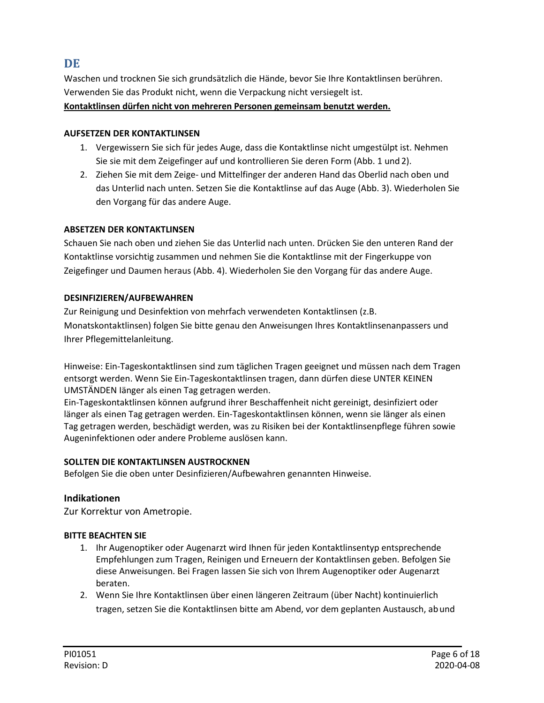## <span id="page-5-0"></span>**DE**

Waschen und trocknen Sie sich grundsätzlich die Hände, bevor Sie Ihre Kontaktlinsen berühren. Verwenden Sie das Produkt nicht, wenn die Verpackung nicht versiegelt ist. **Kontaktlinsen dürfen nicht von mehreren Personen gemeinsam benutzt werden.**

#### **AUFSETZEN DER KONTAKTLINSEN**

- 1. Vergewissern Sie sich für jedes Auge, dass die Kontaktlinse nicht umgestülpt ist. Nehmen Sie sie mit dem Zeigefinger auf und kontrollieren Sie deren Form (Abb. 1 und 2).
- 2. Ziehen Sie mit dem Zeige- und Mittelfinger der anderen Hand das Oberlid nach oben und das Unterlid nach unten. Setzen Sie die Kontaktlinse auf das Auge (Abb. 3). Wiederholen Sie den Vorgang für das andere Auge.

#### **ABSETZEN DER KONTAKTLINSEN**

Schauen Sie nach oben und ziehen Sie das Unterlid nach unten. Drücken Sie den unteren Rand der Kontaktlinse vorsichtig zusammen und nehmen Sie die Kontaktlinse mit der Fingerkuppe von Zeigefinger und Daumen heraus (Abb. 4). Wiederholen Sie den Vorgang für das andere Auge.

#### **DESINFIZIEREN/AUFBEWAHREN**

Zur Reinigung und Desinfektion von mehrfach verwendeten Kontaktlinsen (z.B. Monatskontaktlinsen) folgen Sie bitte genau den Anweisungen Ihres Kontaktlinsenanpassers und Ihrer Pflegemittelanleitung.

Hinweise: Ein-Tageskontaktlinsen sind zum täglichen Tragen geeignet und müssen nach dem Tragen entsorgt werden. Wenn Sie Ein-Tageskontaktlinsen tragen, dann dürfen diese UNTER KEINEN UMSTÄNDEN Iänger als einen Tag getragen werden.

Ein-Tageskontaktlinsen können aufgrund ihrer Beschaffenheit nicht gereinigt, desinfiziert oder länger als einen Tag getragen werden. Ein-Tageskontaktlinsen können, wenn sie länger als einen Tag getragen werden, beschädigt werden, was zu Risiken bei der Kontaktlinsenpflege führen sowie Augeninfektionen oder andere Probleme auslösen kann.

#### **SOLLTEN DIE KONTAKTLINSEN AUSTROCKNEN**

Befolgen Sie die oben unter Desinfizieren/Aufbewahren genannten Hinweise.

#### **Indikationen**

Zur Korrektur von Ametropie.

#### **BITTE BEACHTEN SIE**

- 1. Ihr Augenoptiker oder Augenarzt wird Ihnen für jeden Kontaktlinsentyp entsprechende Empfehlungen zum Tragen, Reinigen und Erneuern der Kontaktlinsen geben. Befolgen Sie diese Anweisungen. Bei Fragen lassen Sie sich von Ihrem Augenoptiker oder Augenarzt beraten.
- 2. Wenn Sie Ihre Kontaktlinsen über einen längeren Zeitraum (über Nacht) kontinuierlich tragen, setzen Sie die Kontaktlinsen bitte am Abend, vor dem geplanten Austausch, ab und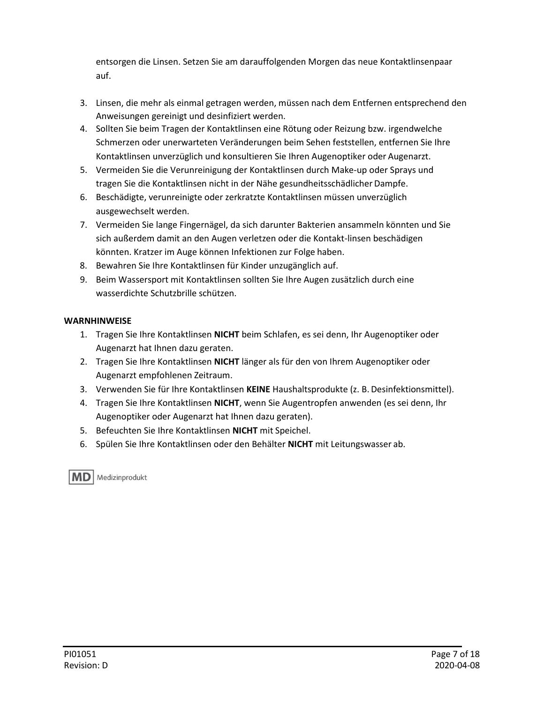entsorgen die Linsen. Setzen Sie am darauffolgenden Morgen das neue Kontaktlinsenpaar auf.

- 3. Linsen, die mehr als einmal getragen werden, müssen nach dem Entfernen entsprechend den Anweisungen gereinigt und desinfiziert werden.
- 4. Sollten Sie beim Tragen der Kontaktlinsen eine Rötung oder Reizung bzw. irgendwelche Schmerzen oder unerwarteten Veränderungen beim Sehen feststellen, entfernen Sie Ihre Kontaktlinsen unverzüglich und konsultieren Sie Ihren Augenoptiker oder Augenarzt.
- 5. Vermeiden Sie die Verunreinigung der Kontaktlinsen durch Make-up oder Sprays und tragen Sie die Kontaktlinsen nicht in der Nähe gesundheitsschädlicher Dampfe.
- 6. Beschädigte, verunreinigte oder zerkratzte Kontaktlinsen müssen unverzüglich ausgewechselt werden.
- 7. Vermeiden Sie lange Fingernägel, da sich darunter Bakterien ansammeln könnten und Sie sich außerdem damit an den Augen verletzen oder die Kontakt-linsen beschädigen könnten. Kratzer im Auge können Infektionen zur Folge haben.
- 8. Bewahren Sie Ihre Kontaktlinsen für Kinder unzugänglich auf.
- 9. Beim Wassersport mit Kontaktlinsen sollten Sie Ihre Augen zusätzlich durch eine wasserdichte Schutzbrille schützen.

#### **WARNHINWEISE**

- 1. Tragen Sie Ihre Kontaktlinsen **NICHT** beim Schlafen, es sei denn, Ihr Augenoptiker oder Augenarzt hat Ihnen dazu geraten.
- 2. Tragen Sie Ihre Kontaktlinsen **NICHT** länger als für den von Ihrem Augenoptiker oder Augenarzt empfohlenen Zeitraum.
- 3. Verwenden Sie für Ihre Kontaktlinsen **KEINE** Haushaltsprodukte (z. B. Desinfektionsmittel).
- 4. Tragen Sie Ihre Kontaktlinsen **NICHT**, wenn Sie Augentropfen anwenden (es sei denn, Ihr Augenoptiker oder Augenarzt hat Ihnen dazu geraten).
- 5. Befeuchten Sie Ihre Kontaktlinsen **NICHT** mit Speichel.
- 6. Spülen Sie Ihre Kontaktlinsen oder den Behälter **NICHT** mit Leitungswasser ab.

**MD** | Medizinprodukt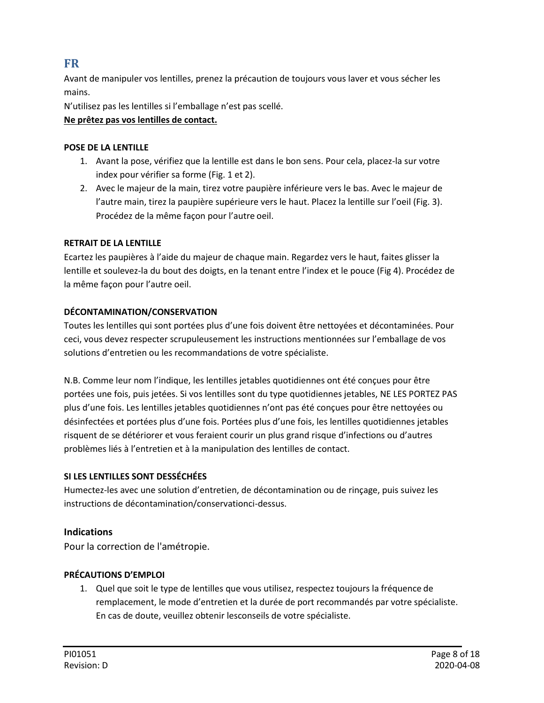## <span id="page-7-0"></span>**FR**

Avant de manipuler vos lentilles, prenez la précaution de toujours vous laver et vous sécher les mains.

N'utilisez pas les lentilles si l'emballage n'est pas scellé.

#### **Ne prêtez pas vos lentilles de contact.**

#### **POSE DE LA LENTILLE**

- 1. Avant la pose, vérifiez que la lentille est dans le bon sens. Pour cela, placez-la sur votre index pour vérifier sa forme (Fig. 1 et 2).
- 2. Avec le majeur de la main, tirez votre paupière inférieure vers le bas. Avec le majeur de l'autre main, tirez la paupière supérieure vers le haut. Placez la lentille sur l'oeil (Fig. 3). Procédez de la même façon pour l'autre oeil.

#### **RETRAIT DE LA LENTILLE**

Ecartez les paupières à l'aide du majeur de chaque main. Regardez vers le haut, faites glisser la lentille et soulevez-la du bout des doigts, en la tenant entre l'index et le pouce (Fig 4). Procédez de la même façon pour l'autre oeil.

#### **DÉCONTAMINATION/CONSERVATION**

Toutes les lentilles qui sont portées plus d'une fois doivent être nettoyées et décontaminées. Pour ceci, vous devez respecter scrupuleusement les instructions mentionnées sur l'emballage de vos solutions d'entretien ou les recommandations de votre spécialiste.

N.B. Comme leur nom l'indique, les lentilles jetables quotidiennes ont été conçues pour être portées une fois, puis jetées. Si vos lentilles sont du type quotidiennes jetables, NE LES PORTEZ PAS plus d'une fois. Les lentilles jetables quotidiennes n'ont pas été conçues pour être nettoyées ou désinfectées et portées plus d'une fois. Portées plus d'une fois, les lentilles quotidiennes jetables risquent de se détériorer et vous feraient courir un plus grand risque d'infections ou d'autres problèmes liés à l'entretien et à la manipulation des lentilles de contact.

#### **SI LES LENTILLES SONT DESSÉCHÉES**

Humectez-les avec une solution d'entretien, de décontamination ou de rinçage, puis suivez les instructions de décontamination/conservationci-dessus.

### **Indications**

Pour la correction de l'amétropie.

### **PRÉCAUTIONS D'EMPLOI**

1. Quel que soit le type de lentilles que vous utilisez, respectez toujours la fréquence de remplacement, le mode d'entretien et la durée de port recommandés par votre spécialiste. En cas de doute, veuillez obtenir lesconseils de votre spécialiste.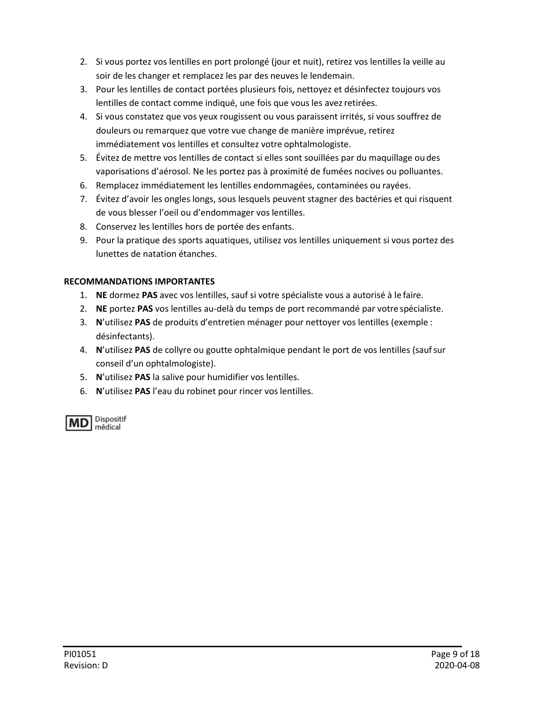- 2. Si vous portez vos lentilles en port prolongé (jour et nuit), retirez vos lentilles la veille au soir de les changer et remplacez les par des neuves le lendemain.
- 3. Pour les lentilles de contact portées plusieurs fois, nettoyez et désinfectez toujours vos lentilles de contact comme indiqué, une fois que vous les avez retirées.
- 4. Si vous constatez que vos yeux rougissent ou vous paraissent irrités, si vous souffrez de douleurs ou remarquez que votre vue change de manière imprévue, retirez immédiatement vos lentilles et consultez votre ophtalmologiste.
- 5. Évitez de mettre vos lentilles de contact si elles sont souillées par du maquillage ou des vaporisations d'aérosol. Ne les portez pas à proximité de fumées nocives ou polluantes.
- 6. Remplacez immédiatement les lentilles endommagées, contaminées ou rayées.
- 7. Évitez d'avoir les ongles longs, sous lesquels peuvent stagner des bactéries et qui risquent de vous blesser l'oeil ou d'endommager vos lentilles.
- 8. Conservez les lentilles hors de portée des enfants.
- 9. Pour la pratique des sports aquatiques, utilisez vos lentilles uniquement si vous portez des lunettes de natation étanches.

### **RECOMMANDATIONS IMPORTANTES**

- 1. **NE** dormez **PAS** avec vos lentilles, sauf si votre spécialiste vous a autorisé à le faire.
- 2. **NE** portez **PAS** vos lentilles au-delà du temps de port recommandé par votre spécialiste.
- 3. **N**'utilisez **PAS** de produits d'entretien ménager pour nettoyer vos lentilles (exemple : désinfectants).
- 4. **N**'utilisez **PAS** de collyre ou goutte ophtalmique pendant le port de vos lentilles (saufsur conseil d'un ophtalmologiste).
- 5. **N**'utilisez **PAS** la salive pour humidifier vos lentilles.
- 6. **N**'utilisez **PAS** l'eau du robinet pour rincer vos lentilles.

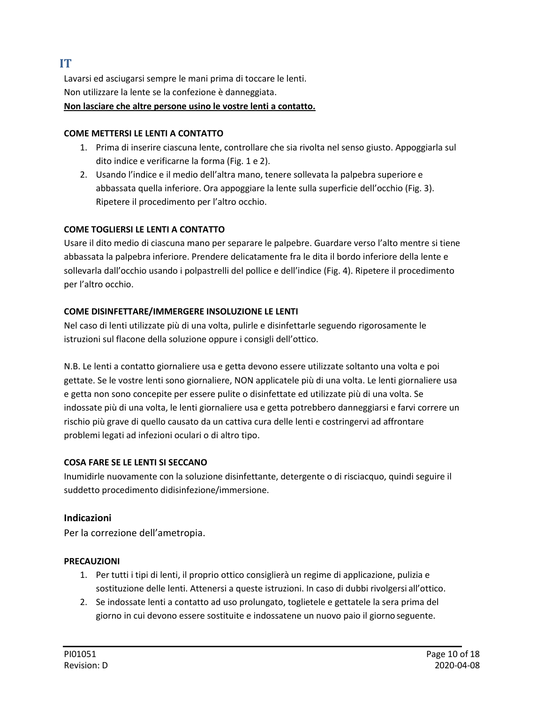## <span id="page-9-0"></span>**IT**

Lavarsi ed asciugarsi sempre le mani prima di toccare le lenti. Non utilizzare la lente se la confezione è danneggiata. **Non lasciare che altre persone usino le vostre lenti a contatto.**

#### **COME METTERSI LE LENTI A CONTATTO**

- 1. Prima di inserire ciascuna lente, controllare che sia rivolta nel senso giusto. Appoggiarla sul dito indice e verificarne la forma (Fig. 1 e 2).
- 2. Usando l'indice e il medio dell'altra mano, tenere sollevata la palpebra superiore e abbassata quella inferiore. Ora appoggiare la lente sulla superficie dell'occhio (Fig. 3). Ripetere il procedimento per l'altro occhio.

#### **COME TOGLIERSI LE LENTI A CONTATTO**

Usare il dito medio di ciascuna mano per separare le palpebre. Guardare verso l'alto mentre si tiene abbassata la palpebra inferiore. Prendere delicatamente fra le dita il bordo inferiore della lente e sollevarla dall'occhio usando i polpastrelli del pollice e dell'indice (Fig. 4). Ripetere il procedimento per l'altro occhio.

#### **COME DISINFETTARE/IMMERGERE INSOLUZIONE LE LENTI**

Nel caso di lenti utilizzate più di una volta, pulirle e disinfettarle seguendo rigorosamente le istruzioni sul flacone della soluzione oppure i consigli dell'ottico.

N.B. Le lenti a contatto giornaliere usa e getta devono essere utilizzate soltanto una volta e poi gettate. Se le vostre lenti sono giornaliere, NON applicatele più di una volta. Le lenti giornaliere usa e getta non sono concepite per essere pulite o disinfettate ed utilizzate più di una volta. Se indossate più di una volta, le lenti giornaliere usa e getta potrebbero danneggiarsi e farvi correre un rischio più grave di quello causato da un cattiva cura delle lenti e costringervi ad affrontare problemi legati ad infezioni oculari o di altro tipo.

#### **COSA FARE SE LE LENTI SI SECCANO**

Inumidirle nuovamente con la soluzione disinfettante, detergente o di risciacquo, quindi seguire il suddetto procedimento didisinfezione/immersione.

### **Indicazioni**

Per la correzione dell'ametropia.

### **PRECAUZIONI**

- 1. Per tutti i tipi di lenti, il proprio ottico consiglierà un regime di applicazione, pulizia e sostituzione delle lenti. Attenersi a queste istruzioni. In caso di dubbi rivolgersi all'ottico.
- 2. Se indossate lenti a contatto ad uso prolungato, toglietele e gettatele la sera prima del giorno in cui devono essere sostituite e indossatene un nuovo paio il giorno seguente.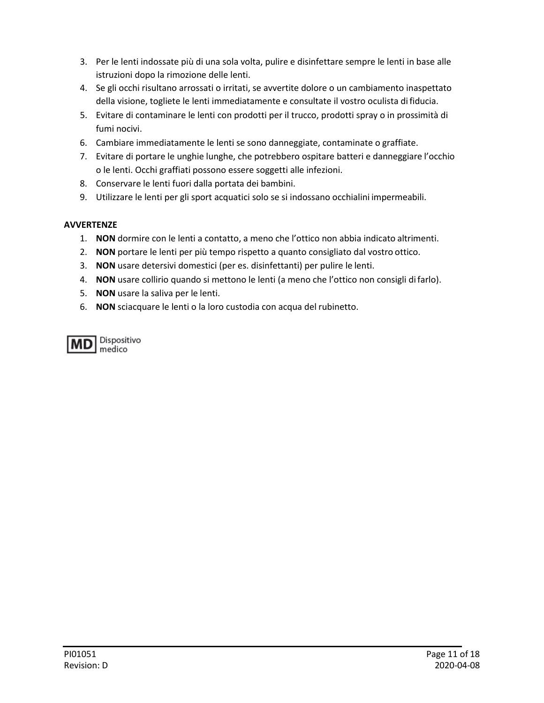- 3. Per le lenti indossate più di una sola volta, pulire e disinfettare sempre le lenti in base alle istruzioni dopo la rimozione delle lenti.
- 4. Se gli occhi risultano arrossati o irritati, se avvertite dolore o un cambiamento inaspettato della visione, togliete le lenti immediatamente e consultate il vostro oculista di fiducia.
- 5. Evitare di contaminare le lenti con prodotti per il trucco, prodotti spray o in prossimità di fumi nocivi.
- 6. Cambiare immediatamente le lenti se sono danneggiate, contaminate o graffiate.
- 7. Evitare di portare le unghie lunghe, che potrebbero ospitare batteri e danneggiare l'occhio o le lenti. Occhi graffiati possono essere soggetti alle infezioni.
- 8. Conservare le lenti fuori dalla portata dei bambini.
- 9. Utilizzare le lenti per gli sport acquatici solo se si indossano occhialini impermeabili.

#### **AVVERTENZE**

- 1. **NON** dormire con le lenti a contatto, a meno che l'ottico non abbia indicato altrimenti.
- 2. **NON** portare le lenti per più tempo rispetto a quanto consigliato dal vostro ottico.
- 3. **NON** usare detersivi domestici (per es. disinfettanti) per pulire le lenti.
- 4. **NON** usare collirio quando si mettono le lenti (a meno che l'ottico non consigli difarlo).
- 5. **NON** usare la saliva per le lenti.
- 6. **NON** sciacquare le lenti o la loro custodia con acqua del rubinetto.

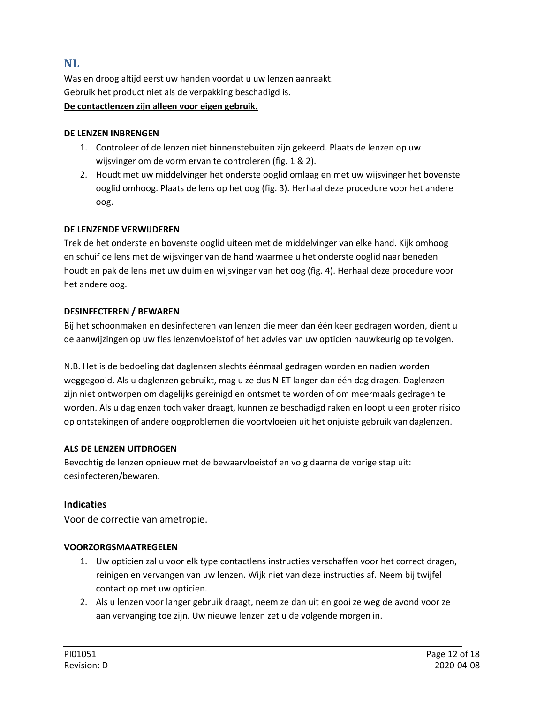## <span id="page-11-0"></span>**NL**

Was en droog altijd eerst uw handen voordat u uw lenzen aanraakt. Gebruik het product niet als de verpakking beschadigd is. **De contactlenzen zijn alleen voor eigen gebruik.**

#### **DE LENZEN INBRENGEN**

- 1. Controleer of de lenzen niet binnenstebuiten zijn gekeerd. Plaats de lenzen op uw wijsvinger om de vorm ervan te controleren (fig. 1 & 2).
- 2. Houdt met uw middelvinger het onderste ooglid omlaag en met uw wijsvinger het bovenste ooglid omhoog. Plaats de lens op het oog (fig. 3). Herhaal deze procedure voor het andere oog.

#### **DE LENZENDE VERWIJDEREN**

Trek de het onderste en bovenste ooglid uiteen met de middelvinger van elke hand. Kijk omhoog en schuif de lens met de wijsvinger van de hand waarmee u het onderste ooglid naar beneden houdt en pak de lens met uw duim en wijsvinger van het oog (fig. 4). Herhaal deze procedure voor het andere oog.

#### **DESINFECTEREN / BEWAREN**

Bij het schoonmaken en desinfecteren van lenzen die meer dan één keer gedragen worden, dient u de aanwijzingen op uw fles lenzenvloeistof of het advies van uw opticien nauwkeurig op te volgen.

N.B. Het is de bedoeling dat daglenzen slechts éénmaal gedragen worden en nadien worden weggegooid. Als u daglenzen gebruikt, mag u ze dus NIET langer dan één dag dragen. Daglenzen zijn niet ontworpen om dagelijks gereinigd en ontsmet te worden of om meermaals gedragen te worden. Als u daglenzen toch vaker draagt, kunnen ze beschadigd raken en loopt u een groter risico op ontstekingen of andere oogproblemen die voortvloeien uit het onjuiste gebruik van daglenzen.

#### **ALS DE LENZEN UITDROGEN**

Bevochtig de lenzen opnieuw met de bewaarvloeistof en volg daarna de vorige stap uit: desinfecteren/bewaren.

#### **Indicaties**

Voor de correctie van ametropie.

#### **VOORZORGSMAATREGELEN**

- 1. Uw opticien zal u voor elk type contactlens instructies verschaffen voor het correct dragen, reinigen en vervangen van uw lenzen. Wijk niet van deze instructies af. Neem bij twijfel contact op met uw opticien.
- 2. Als u lenzen voor langer gebruik draagt, neem ze dan uit en gooi ze weg de avond voor ze aan vervanging toe zijn. Uw nieuwe lenzen zet u de volgende morgen in.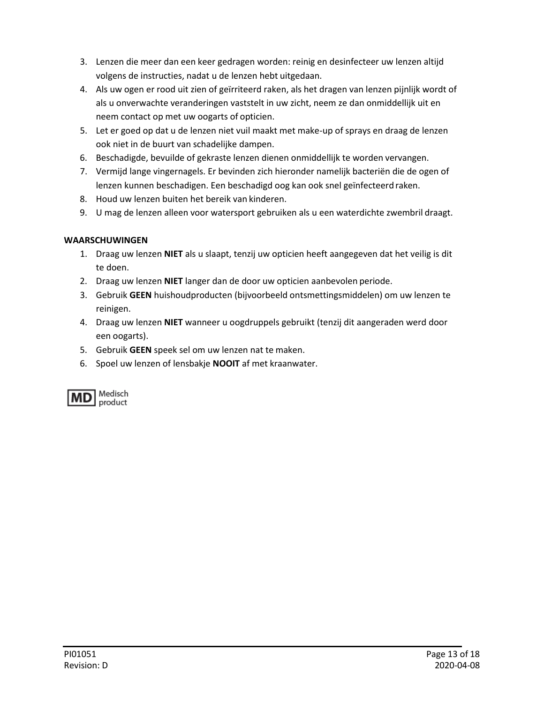- 3. Lenzen die meer dan een keer gedragen worden: reinig en desinfecteer uw lenzen altijd volgens de instructies, nadat u de lenzen hebt uitgedaan.
- 4. Als uw ogen er rood uit zien of geïrriteerd raken, als het dragen van lenzen pijnlijk wordt of als u onverwachte veranderingen vaststelt in uw zicht, neem ze dan onmiddellijk uit en neem contact op met uw oogarts of opticien.
- 5. Let er goed op dat u de lenzen niet vuil maakt met make-up of sprays en draag de lenzen ook niet in de buurt van schadelijke dampen.
- 6. Beschadigde, bevuilde of gekraste lenzen dienen onmiddellijk te worden vervangen.
- 7. Vermijd lange vingernagels. Er bevinden zich hieronder namelijk bacteriën die de ogen of lenzen kunnen beschadigen. Een beschadigd oog kan ook snel geïnfecteerd raken.
- 8. Houd uw lenzen buiten het bereik van kinderen.
- 9. U mag de lenzen alleen voor watersport gebruiken als u een waterdichte zwembril draagt.

## **WAARSCHUWINGEN**

- 1. Draag uw lenzen **NIET** als u slaapt, tenzij uw opticien heeft aangegeven dat het veilig is dit te doen.
- 2. Draag uw lenzen **NIET** langer dan de door uw opticien aanbevolen periode.
- 3. Gebruik **GEEN** huishoudproducten (bijvoorbeeld ontsmettingsmiddelen) om uw lenzen te reinigen.
- 4. Draag uw lenzen **NIET** wanneer u oogdruppels gebruikt (tenzij dit aangeraden werd door een oogarts).
- 5. Gebruik **GEEN** speek sel om uw lenzen nat te maken.
- 6. Spoel uw lenzen of lensbakje **NOOIT** af met kraanwater.

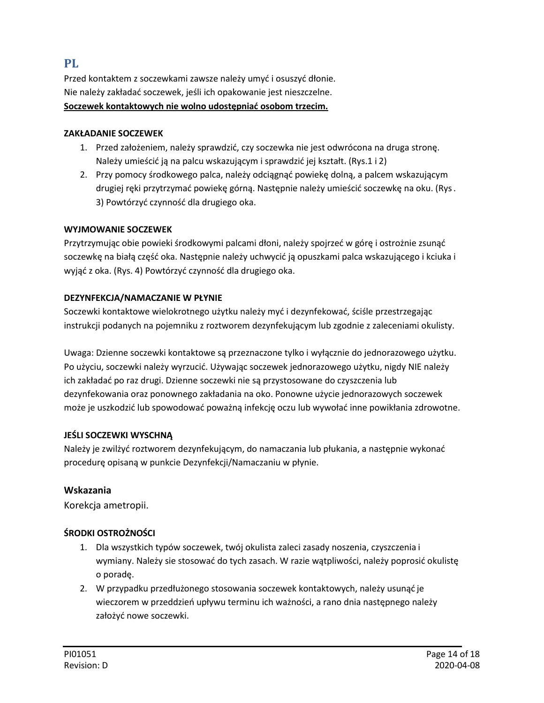## <span id="page-13-0"></span>**PL**

Przed kontaktem z soczewkami zawsze należy umyć i osuszyć dłonie. Nie należy zakładać soczewek, jeśli ich opakowanie jest nieszczelne. **Soczewek kontaktowych nie wolno udostępniać osobom trzecim.**

#### **ZAKŁADANIE SOCZEWEK**

- 1. Przed założeniem, należy sprawdzić, czy soczewka nie jest odwrócona na druga stronę. Należy umieścić ją na palcu wskazującym i sprawdzić jej kształt. (Rys.1 i 2)
- 2. Przy pomocy środkowego palca, należy odciągnąć powiekę dolną, a palcem wskazującym drugiej ręki przytrzymać powiekę górną. Następnie należy umieścić soczewkę na oku. (Rys. 3) Powtórzyć czynność dla drugiego oka.

#### **WYJMOWANIE SOCZEWEK**

Przytrzymując obie powieki środkowymi palcami dłoni, należy spojrzeć w górę i ostrożnie zsunąć soczewkę na białą część oka. Następnie należy uchwycić ją opuszkami palca wskazującego i kciuka i wyjąć z oka. (Rys. 4) Powtórzyć czynność dla drugiego oka.

#### **DEZYNFEKCJA/NAMACZANIE W PŁYNIE**

Soczewki kontaktowe wielokrotnego użytku należy myć i dezynfekować, ściśle przestrzegając instrukcji podanych na pojemniku z roztworem dezynfekującym lub zgodnie z zaleceniami okulisty.

Uwaga: Dzienne soczewki kontaktowe są przeznaczone tylko i wyłącznie do jednorazowego użytku. Po użyciu, soczewki należy wyrzucić. Używając soczewek jednorazowego użytku, nigdy NIE należy ich zakładać po raz drugi. Dzienne soczewki nie są przystosowane do czyszczenia lub dezynfekowania oraz ponownego zakładania na oko. Ponowne użycie jednorazowych soczewek może je uszkodzić lub spowodować poważną infekcję oczu lub wywołać inne powikłania zdrowotne.

#### **JEŚLI SOCZEWKI WYSCHNĄ**

Należy je zwilżyć roztworem dezynfekującym, do namaczania lub płukania, a następnie wykonać procedurę opisaną w punkcie Dezynfekcji/Namaczaniu w płynie.

#### **Wskazania**

Korekcja ametropii.

#### **ŚRODKI OSTROŻNOŚCI**

- 1. Dla wszystkich typów soczewek, twój okulista zaleci zasady noszenia, czyszczenia i wymiany. Należy sie stosować do tych zasach. W razie wątpliwości, należy poprosić okulistę o poradę.
- 2. W przypadku przedłużonego stosowania soczewek kontaktowych, należy usunąć je wieczorem w przeddzień upływu terminu ich ważności, a rano dnia następnego należy założyć nowe soczewki.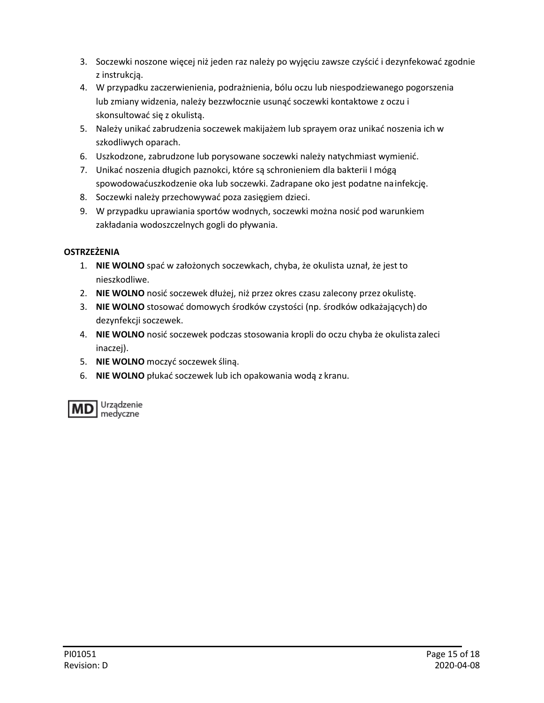- 3. Soczewki noszone więcej niż jeden raz należy po wyjęciu zawsze czyścić i dezynfekować zgodnie z instrukcją.
- 4. W przypadku zaczerwienienia, podrażnienia, bólu oczu lub niespodziewanego pogorszenia lub zmiany widzenia, należy bezzwłocznie usunąć soczewki kontaktowe z oczu i skonsultować się z okulistą.
- 5. Należy unikać zabrudzenia soczewek makijażem lub sprayem oraz unikać noszenia ich w szkodliwych oparach.
- 6. Uszkodzone, zabrudzone lub porysowane soczewki należy natychmiast wymienić.
- 7. Unikać noszenia długich paznokci, które są schronieniem dla bakterii I mógą spowodowaćuszkodzenie oka lub soczewki. Zadrapane oko jest podatne nainfekcję.
- 8. Soczewki należy przechowywać poza zasięgiem dzieci.
- 9. W przypadku uprawiania sportów wodnych, soczewki można nosić pod warunkiem zakładania wodoszczelnych gogli do pływania.

## **OSTRZEŻENIA**

- 1. **NIE WOLNO** spać w założonych soczewkach, chyba, że okulista uznał, że jest to nieszkodliwe.
- 2. **NIE WOLNO** nosić soczewek dłużej, niż przez okres czasu zalecony przez okulistę.
- 3. **NIE WOLNO** stosować domowych środków czystości (np. środków odkażających) do dezynfekcji soczewek.
- 4. **NIE WOLNO** nosić soczewek podczas stosowania kropli do oczu chyba że okulista zaleci inaczej).
- 5. **NIE WOLNO** moczyć soczewek śliną.
- 6. **NIE WOLNO** płukać soczewek lub ich opakowania wodą z kranu.

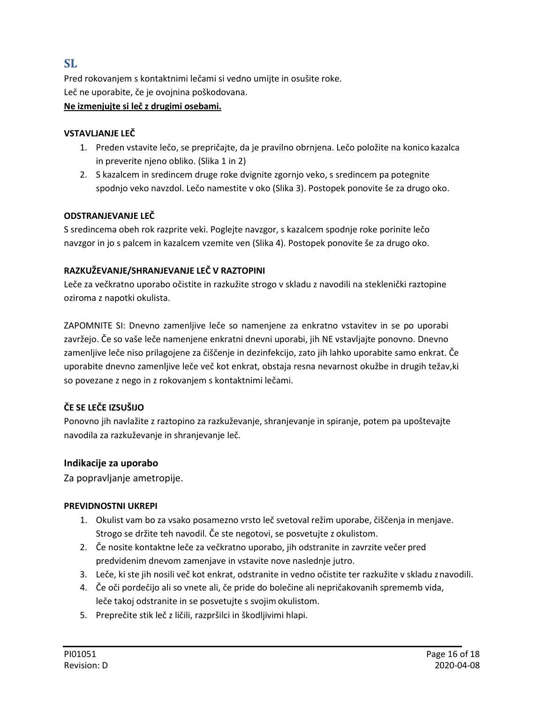## <span id="page-15-0"></span>**SL**

Pred rokovanjem s kontaktnimi lečami si vedno umijte in osušite roke. Leč ne uporabite, če je ovojnina poškodovana.

#### **Ne izmenjujte si leč z drugimi osebami.**

#### **VSTAVLJANJE LEČ**

- 1. Preden vstavite lečo, se prepričajte, da je pravilno obrnjena. Lečo položite na konico kazalca in preverite njeno obliko. (Slika 1 in 2)
- 2. S kazalcem in sredincem druge roke dvignite zgornjo veko, s sredincem pa potegnite spodnjo veko navzdol. Lečo namestite v oko (Slika 3). Postopek ponovite še za drugo oko.

#### **ODSTRANJEVANJE LEČ**

S sredincema obeh rok razprite veki. Poglejte navzgor, s kazalcem spodnje roke porinite lečo navzgor in jo s palcem in kazalcem vzemite ven (Slika 4). Postopek ponovite še za drugo oko.

#### **RAZKUŽEVANJE/SHRANJEVANJE LEČ V RAZTOPINI**

Leče za večkratno uporabo očistite in razkužite strogo v skladu z navodili na steklenički raztopine oziroma z napotki okulista.

ZAPOMNITE SI: Dnevno zamenljive leče so namenjene za enkratno vstavitev in se po uporabi zavržejo. Če so vaše leče namenjene enkratni dnevni uporabi, jih NE vstavljajte ponovno. Dnevno zamenljive leče niso prilagojene za čiščenje in dezinfekcijo, zato jih lahko uporabite samo enkrat. Če uporabite dnevno zamenljive leče več kot enkrat, obstaja resna nevarnost okužbe in drugih težav,ki so povezane z nego in z rokovanjem s kontaktnimi lečami.

### **ČE SE LEČE IZSUŠIJO**

Ponovno jih navlažite z raztopino za razkuževanje, shranjevanje in spiranje, potem pa upoštevajte navodila za razkuževanje in shranjevanje leč.

### **Indikacije za uporabo**

Za popravljanje ametropije.

#### **PREVIDNOSTNI UKREPI**

- 1. Okulist vam bo za vsako posamezno vrsto leč svetoval režim uporabe, čiščenja in menjave. Strogo se držite teh navodil. Če ste negotovi, se posvetujte z okulistom.
- 2. Če nosite kontaktne leče za večkratno uporabo, jih odstranite in zavrzite večer pred predvidenim dnevom zamenjave in vstavite nove naslednje jutro.
- 3. Leče, ki ste jih nosili več kot enkrat, odstranite in vedno očistite ter razkužite v skladu znavodili.
- 4. Če oči pordečijo ali so vnete ali, če pride do bolečine ali nepričakovanih sprememb vida, leče takoj odstranite in se posvetujte s svojim okulistom.
- 5. Preprečite stik leč z ličili, razpršilci in škodljivimi hlapi.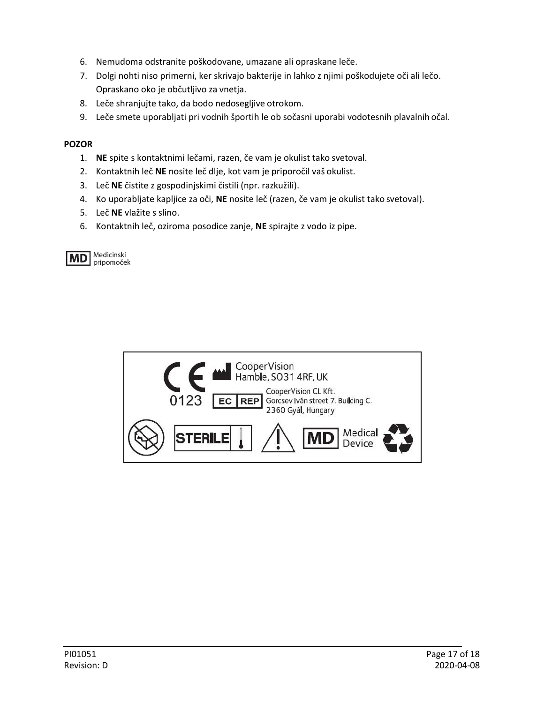- 6. Nemudoma odstranite poškodovane, umazane ali opraskane leče.
- 7. Dolgi nohti niso primerni, ker skrivajo bakterije in lahko z njimi poškodujete oči ali lečo. Opraskano oko je občutljivo za vnetja.
- 8. Leče shranjujte tako, da bodo nedosegljive otrokom.
- 9. Leče smete uporabljati pri vodnih športih le ob sočasni uporabi vodotesnih plavalnih očal.

#### **POZOR**

- 1. **NE** spite s kontaktnimi lečami, razen, če vam je okulist tako svetoval.
- 2. Kontaktnih leč **NE** nosite leč dlje, kot vam je priporočil vaš okulist.
- 3. Leč **NE** čistite z gospodinjskimi čistili (npr. razkužili).
- 4. Ko uporabljate kapljice za oči, **NE** nosite leč (razen, če vam je okulist tako svetoval).
- 5. Leč **NE** vlažite s slino.
- 6. Kontaktnih leč, oziroma posodice zanje, **NE** spirajte z vodo iz pipe.

**MD** Medicinski pripomoček